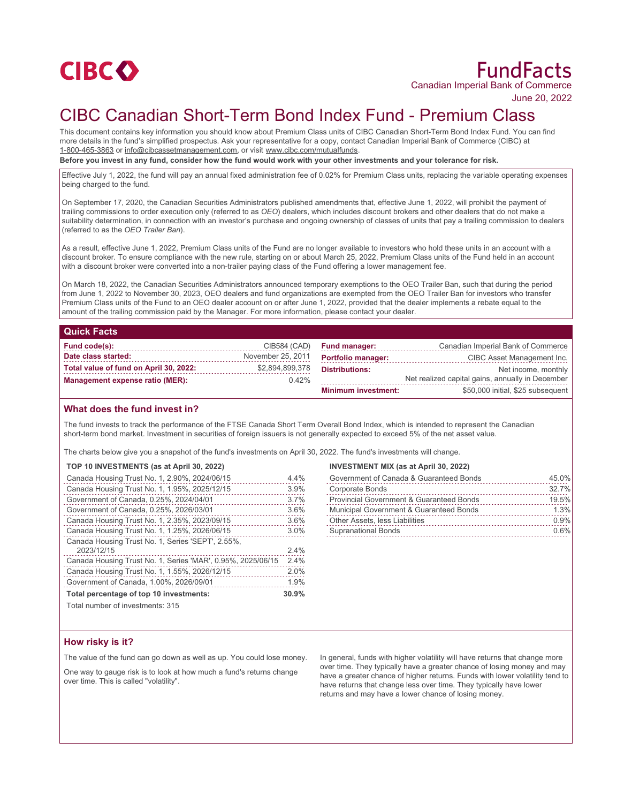

# FundFacts Canadian Imperial Bank of Commerce

June 20, 2022

# CIBC Canadian Short-Term Bond Index Fund - Premium Class

This document contains key information you should know about Premium Class units of CIBC Canadian Short-Term Bond Index Fund. You can find more details in the fund's simplified prospectus. Ask your representative for a copy, contact Canadian Imperial Bank of Commerce (CIBC) at 1-800-465-3863 or info@cibcassetmanagement.com, or visit www.cibc.com/mutualfunds.

**Before you invest in any fund, consider how the fund would work with your other investments and your tolerance for risk.**

Effective July 1, 2022, the fund will pay an annual fixed administration fee of 0.02% for Premium Class units, replacing the variable operating expenses being charged to the fund.

On September 17, 2020, the Canadian Securities Administrators published amendments that, effective June 1, 2022, will prohibit the payment of trailing commissions to order execution only (referred to as *OEO*) dealers, which includes discount brokers and other dealers that do not make a suitability determination, in connection with an investor's purchase and ongoing ownership of classes of units that pay a trailing commission to dealers (referred to as the *OEO Trailer Ban*).

As a result, effective June 1, 2022, Premium Class units of the Fund are no longer available to investors who hold these units in an account with a discount broker. To ensure compliance with the new rule, starting on or about March 25, 2022, Premium Class units of the Fund held in an account with a discount broker were converted into a non-trailer paying class of the Fund offering a lower management fee.

On March 18, 2022, the Canadian Securities Administrators announced temporary exemptions to the OEO Trailer Ban, such that during the period from June 1, 2022 to November 30, 2023, OEO dealers and fund organizations are exempted from the OEO Trailer Ban for investors who transfer Premium Class units of the Fund to an OEO dealer account on or after June 1, 2022, provided that the dealer implements a rebate equal to the amount of the trailing commission paid by the Manager. For more information, please contact your dealer.

### **Quick Facts**

| Fund code(s):                          | CIB584 (CAD)      | <b>Fund manager:</b>       | Canadian Imperial Bank of Commerce               |
|----------------------------------------|-------------------|----------------------------|--------------------------------------------------|
| Date class started:                    | November 25, 2011 | <b>Portfolio manager:</b>  | CIBC Asset Management Inc.                       |
| Total value of fund on April 30, 2022: | \$2,894,899,378   | <b>Distributions:</b>      | Net income, monthly                              |
| <b>Management expense ratio (MER):</b> | $0.42\%$          |                            | Net realized capital gains, annually in December |
|                                        |                   | <b>Minimum investment:</b> | \$50,000 initial, \$25 subsequent                |

### **What does the fund invest in?**

The fund invests to track the performance of the FTSE Canada Short Term Overall Bond Index, which is intended to represent the Canadian short-term bond market. Investment in securities of foreign issuers is not generally expected to exceed 5% of the net asset value.

The charts below give you a snapshot of the fund's investments on April 30, 2022. The fund's investments will change.

#### **TOP 10 INVESTMENTS (as at April 30, 2022)**

| Canada Housing Trust No. 1, 2.90%, 2024/06/15               | 4.4% |
|-------------------------------------------------------------|------|
| Canada Housing Trust No. 1, 1.95%, 2025/12/15               | 3.9% |
| Government of Canada, 0.25%, 2024/04/01                     | 3.7% |
| Government of Canada, 0.25%, 2026/03/01                     | 3.6% |
| Canada Housing Trust No. 1, 2.35%, 2023/09/15               | 3.6% |
| Canada Housing Trust No. 1, 1.25%, 2026/06/15               | 3.0% |
| Canada Housing Trust No. 1, Series 'SEPT', 2.55%,           |      |
| 2023/12/15                                                  | 2.4% |
| Canada Housing Trust No. 1, Series 'MAR', 0.95%, 2025/06/15 | 2.4% |
| Canada Housing Trust No. 1, 1.55%, 2026/12/15               | 2.0% |
| Government of Canada, 1.00%, 2026/09/01                     | 1.9% |
| Total percentage of top 10 investments:                     |      |
| $T$ otal number of invastmenter $24E$                       |      |

## **INVESTMENT MIX (as at April 30, 2022)**

| Government of Canada & Guaranteed Bonds             | 45.0% |
|-----------------------------------------------------|-------|
| <b>Corporate Bonds</b>                              | 32.7% |
| <b>Provincial Government &amp; Guaranteed Bonds</b> | 19.5% |
| Municipal Government & Guaranteed Bonds             | 1.3%  |
| Other Assets, less Liabilities                      | 0.9%  |
| <b>Supranational Bonds</b>                          | 0.6%  |
|                                                     |       |

Total number of investments: 315

# **How risky is it?**

The value of the fund can go down as well as up. You could lose money.

One way to gauge risk is to look at how much a fund's returns change over time. This is called "volatility".

In general, funds with higher volatility will have returns that change more over time. They typically have a greater chance of losing money and may have a greater chance of higher returns. Funds with lower volatility tend to have returns that change less over time. They typically have lower returns and may have a lower chance of losing money.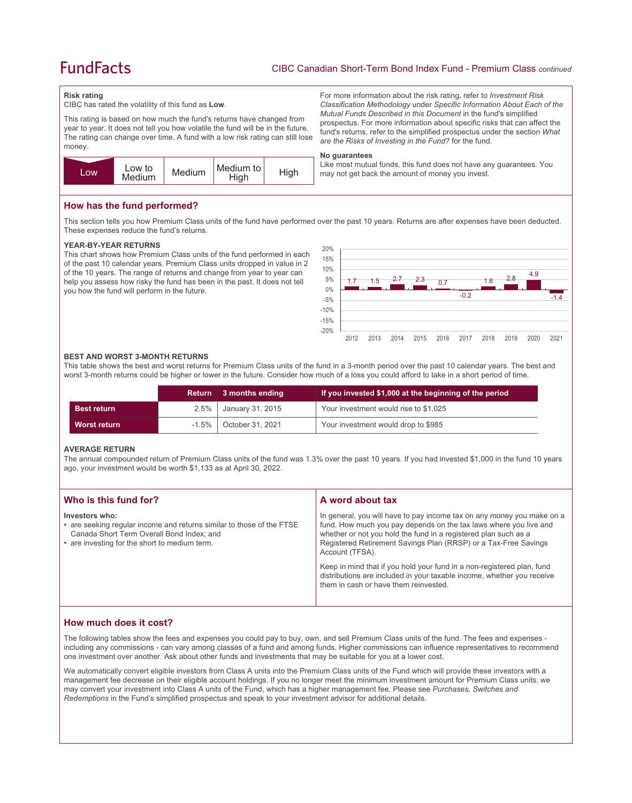# **FundFacts**

*are the Risks of Investing in the Fund?* for the fund.

may not get back the amount of money you invest.

For more information about the risk rating, refer to *Investment Risk Classification Methodology* under *Specific Information About Each of the Mutual Funds Described in this Document* in the fund's simplified prospectus. For more information about specific risks that can affect the fund's returns, refer to the simplified prospectus under the section *What* 

Like most mutual funds, this fund does not have any guarantees. You

#### **Risk rating**

CIBC has rated the volatility of this fund as **Low**.

This rating is based on how much the fund's returns have changed from year to year. It does not tell you how volatile the fund will be in the future. The rating can change over time. A fund with a low risk rating can still lose money.



**How has the fund performed?**

This section tells you how Premium Class units of the fund have performed over the past 10 years. Returns are after expenses have been deducted. These expenses reduce the fund's returns.

**No guarantees**

#### **YEAR-BY-YEAR RETURNS**

This chart shows how Premium Class units of the fund performed in each of the past 10 calendar years. Premium Class units dropped in value in 2 of the 10 years. The range of returns and change from year to year can help you assess how risky the fund has been in the past. It does not tell you how the fund will perform in the future.



#### **BEST AND WORST 3-MONTH RETURNS**

This table shows the best and worst returns for Premium Class units of the fund in a 3-month period over the past 10 calendar years. The best and worst 3-month returns could be higher or lower in the future. Consider how much of a loss you could afford to take in a short period of time.

|                    | Return   | 3 months ending  | If you invested \$1,000 at the beginning of the period |
|--------------------|----------|------------------|--------------------------------------------------------|
| <b>Best return</b> | 2.5%     | January 31, 2015 | Your investment would rise to \$1,025                  |
| Worst return       | $-1.5\%$ | October 31, 2021 | Your investment would drop to \$985                    |

#### **AVERAGE RETURN**

The annual compounded return of Premium Class units of the fund was 1.3% over the past 10 years. If you had invested \$1,000 in the fund 10 years ago, your investment would be worth \$1,133 as at April 30, 2022.

| Who is this fund for?                                                                                                                                                                 | A word about tax                                                                                                                                                                                                                                                                                                                                                                                                                                                                                  |
|---------------------------------------------------------------------------------------------------------------------------------------------------------------------------------------|---------------------------------------------------------------------------------------------------------------------------------------------------------------------------------------------------------------------------------------------------------------------------------------------------------------------------------------------------------------------------------------------------------------------------------------------------------------------------------------------------|
| Investors who:<br>• are seeking regular income and returns similar to those of the FTSE<br>Canada Short Term Overall Bond Index; and<br>• are investing for the short to medium term. | In general, you will have to pay income tax on any money you make on a<br>fund. How much you pay depends on the tax laws where you live and<br>whether or not you hold the fund in a registered plan such as a<br>Registered Retirement Savings Plan (RRSP) or a Tax-Free Savings<br>Account (TFSA).<br>Keep in mind that if you hold your fund in a non-registered plan, fund<br>distributions are included in your taxable income, whether you receive<br>them in cash or have them reinvested. |
|                                                                                                                                                                                       |                                                                                                                                                                                                                                                                                                                                                                                                                                                                                                   |

# **How much does it cost?**

The following tables show the fees and expenses you could pay to buy, own, and sell Premium Class units of the fund. The fees and expenses including any commissions - can vary among classes of a fund and among funds. Higher commissions can influence representatives to recommend one investment over another. Ask about other funds and investments that may be suitable for you at a lower cost.

We automatically convert eligible investors from Class A units into the Premium Class units of the Fund which will provide these investors with a management fee decrease on their eligible account holdings. If you no longer meet the minimum investment amount for Premium Class units, we may convert your investment into Class A units of the Fund, which has a higher management fee. Please see *Purchases, Switches and Redemptions* in the Fund's simplified prospectus and speak to your investment advisor for additional details.